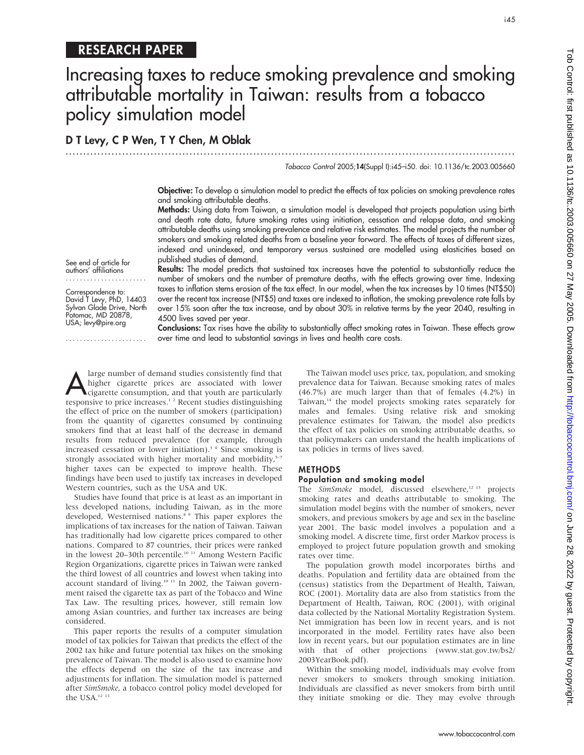# RESEARCH PAPER

See end of article for authors' affiliations ....................... Correspondence to: David T Levy, PhD, 14403 Sylvan Glade Drive, North Potomac, MD 20878, USA; levy@pire.org .......................

# Increasing taxes to reduce smoking prevalence and smoking attributable mortality in Taiwan: results from a tobacco policy simulation model

# D T Levy, C P Wen, T Y Chen, M Oblak ...............................................................................................................................

Tobacco Control 2005;14(Suppl I):i45–i50. doi: 10.1136/tc.2003.005660

Objective: To develop a simulation model to predict the effects of tax policies on smoking prevalence rates and smoking attributable deaths.

Methods: Using data from Taiwan, a simulation model is developed that projects population using birth and death rate data, future smoking rates using initiation, cessation and relapse data, and smoking attributable deaths using smoking prevalence and relative risk estimates. The model projects the number of smokers and smoking related deaths from a baseline year forward. The effects of taxes of different sizes, indexed and unindexed, and temporary versus sustained are modelled using elasticities based on published studies of demand.

Results: The model predicts that sustained tax increases have the potential to substantially reduce the number of smokers and the number of premature deaths, with the effects growing over time. Indexing taxes to inflation stems erosion of the tax effect. In our model, when the tax increases by 10 times (NT\$50) over the recent tax increase (NT\$5) and taxes are indexed to inflation, the smoking prevalence rate falls by over 15% soon after the tax increase, and by about 30% in relative terms by the year 2040, resulting in 4500 lives saved per year.

Conclusions: Tax rises have the ability to substantially affect smoking rates in Taiwan. These effects grow over time and lead to substantial savings in lives and health care costs.

A large number of demand studies consistently find that<br>higher cigarette prices are associated with lower<br>cigarette consumption, and that youth are particularly<br>repronsive to price increases  $12$  Becont studies distinguis higher cigarette prices are associated with lower cigarette consumption, and that youth are particularly responsive to price increases.<sup>12</sup> Recent studies distinguishing the effect of price on the number of smokers (participation) from the quantity of cigarettes consumed by continuing smokers find that at least half of the decrease in demand results from reduced prevalence (for example, through increased cessation or lower initiation).<sup>34</sup> Since smoking is strongly associated with higher mortality and morbidity, $5-7$ higher taxes can be expected to improve health. These findings have been used to justify tax increases in developed Western countries, such as the USA and UK.

Studies have found that price is at least as an important in less developed nations, including Taiwan, as in the more developed, Westernised nations.<sup>8</sup><sup>9</sup> This paper explores the implications of tax increases for the nation of Taiwan. Taiwan has traditionally had low cigarette prices compared to other nations. Compared to 87 countries, their prices were ranked in the lowest 20–30th percentile.<sup>10 11</sup> Among Western Pacific Region Organizations, cigarette prices in Taiwan were ranked the third lowest of all countries and lowest when taking into account standard of living.<sup>10 11</sup> In 2002, the Taiwan government raised the cigarette tax as part of the Tobacco and Wine Tax Law. The resulting prices, however, still remain low among Asian countries, and further tax increases are being considered.

This paper reports the results of a computer simulation model of tax policies for Taiwan that predicts the effect of the 2002 tax hike and future potential tax hikes on the smoking prevalence of Taiwan. The model is also used to examine how the effects depend on the size of the tax increase and adjustments for inflation. The simulation model is patterned after SimSmoke, a tobacco control policy model developed for the USA.<sup>12 13</sup>

The Taiwan model uses price, tax, population, and smoking prevalence data for Taiwan. Because smoking rates of males (46.7%) are much larger than that of females (4.2%) in Taiwan,<sup>14</sup> the model projects smoking rates separately for males and females. Using relative risk and smoking prevalence estimates for Taiwan, the model also predicts the effect of tax policies on smoking attributable deaths, so that policymakers can understand the health implications of tax policies in terms of lives saved.

# **METHODS**

# Population and smoking model

The SimSmoke model, discussed elsewhere,<sup>12 13</sup> projects smoking rates and deaths attributable to smoking. The simulation model begins with the number of smokers, never smokers, and previous smokers by age and sex in the baseline year 2001. The basic model involves a population and a smoking model. A discrete time, first order Markov process is employed to project future population growth and smoking rates over time.

The population growth model incorporates births and deaths. Population and fertility data are obtained from the (census) statistics from the Department of Health, Taiwan, ROC (2001). Mortality data are also from statistics from the Department of Health, Taiwan, ROC (2001), with original data collected by the National Mortality Registration System. Net immigration has been low in recent years, and is not incorporated in the model. Fertility rates have also been low in recent years, but our population estimates are in line with that of other projections (www.stat.gov.tw/bs2/ 2003YearBook.pdf).

Within the smoking model, individuals may evolve from never smokers to smokers through smoking initiation. Individuals are classified as never smokers from birth until they initiate smoking or die. They may evolve through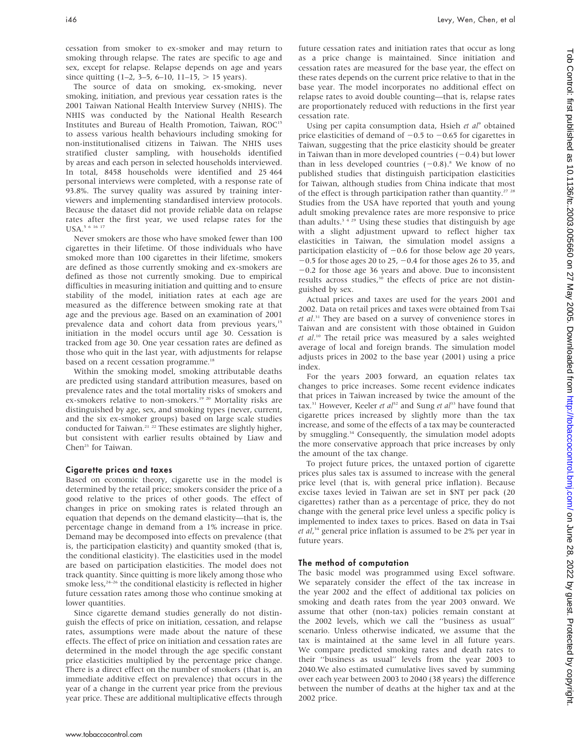cessation from smoker to ex-smoker and may return to smoking through relapse. The rates are specific to age and sex, except for relapse. Relapse depends on age and years since quitting  $(1-2, 3-5, 6-10, 11-15, > 15$  years).

The source of data on smoking, ex-smoking, never smoking, initiation, and previous year cessation rates is the 2001 Taiwan National Health Interview Survey (NHIS). The NHIS was conducted by the National Health Research Institutes and Bureau of Health Promotion, Taiwan, ROC<sup>15</sup> to assess various health behaviours including smoking for non-institutionalised citizens in Taiwan. The NHIS uses stratified cluster sampling, with households identified by areas and each person in selected households interviewed. In total, 8458 households were identified and 25 464 personal interviews were completed, with a response rate of 93.8%. The survey quality was assured by training interviewers and implementing standardised interview protocols. Because the dataset did not provide reliable data on relapse rates after the first year, we used relapse rates for the USA.5 6 16 17

Never smokers are those who have smoked fewer than 100 cigarettes in their lifetime. Of those individuals who have smoked more than 100 cigarettes in their lifetime, smokers are defined as those currently smoking and ex-smokers are defined as those not currently smoking. Due to empirical difficulties in measuring initiation and quitting and to ensure stability of the model, initiation rates at each age are measured as the difference between smoking rate at that age and the previous age. Based on an examination of 2001 prevalence data and cohort data from previous years,<sup>15</sup> initiation in the model occurs until age 30. Cessation is tracked from age 30. One year cessation rates are defined as those who quit in the last year, with adjustments for relapse based on a recent cessation programme.<sup>18</sup>

Within the smoking model, smoking attributable deaths are predicted using standard attribution measures, based on prevalence rates and the total mortality risks of smokers and ex-smokers relative to non-smokers.<sup>19 20</sup> Mortality risks are distinguished by age, sex, and smoking types (never, current, and the six ex-smoker groups) based on large scale studies conducted for Taiwan.<sup>21</sup> <sup>22</sup> These estimates are slightly higher, but consistent with earlier results obtained by Liaw and Chen<sup>23</sup> for Taiwan.

### Cigarette prices and taxes

Based on economic theory, cigarette use in the model is determined by the retail price; smokers consider the price of a good relative to the prices of other goods. The effect of changes in price on smoking rates is related through an equation that depends on the demand elasticity—that is, the percentage change in demand from a 1% increase in price. Demand may be decomposed into effects on prevalence (that is, the participation elasticity) and quantity smoked (that is, the conditional elasticity). The elasticities used in the model are based on participation elasticities. The model does not track quantity. Since quitting is more likely among those who smoke less, $24-26$  the conditional elasticity is reflected in higher future cessation rates among those who continue smoking at lower quantities.

Since cigarette demand studies generally do not distinguish the effects of price on initiation, cessation, and relapse rates, assumptions were made about the nature of these effects. The effect of price on initiation and cessation rates are determined in the model through the age specific constant price elasticities multiplied by the percentage price change. There is a direct effect on the number of smokers (that is, an immediate additive effect on prevalence) that occurs in the year of a change in the current year price from the previous year price. These are additional multiplicative effects through future cessation rates and initiation rates that occur as long as a price change is maintained. Since initiation and cessation rates are measured for the base year, the effect on these rates depends on the current price relative to that in the base year. The model incorporates no additional effect on relapse rates to avoid double counting—that is, relapse rates are proportionately reduced with reductions in the first year cessation rate.

Using per capita consumption data, Hsieh et al<sup>9</sup> obtained price elasticities of demand of  $-0.5$  to  $-0.65$  for cigarettes in Taiwan, suggesting that the price elasticity should be greater in Taiwan than in more developed countries  $(-0.4)$  but lower than in less developed countries  $(-0.8)$ .<sup>8</sup> We know of no published studies that distinguish participation elasticities for Taiwan, although studies from China indicate that most of the effect is through participation rather than quantity.<sup>27</sup>  $28$ Studies from the USA have reported that youth and young adult smoking prevalence rates are more responsive to price than adults.<sup>3,4,29</sup> Using these studies that distinguish by age with a slight adjustment upward to reflect higher tax elasticities in Taiwan, the simulation model assigns a participation elasticity of  $-0.6$  for those below age 20 years,  $-0.5$  for those ages 20 to 25,  $-0.4$  for those ages 26 to 35, and  $-0.2$  for those age 36 years and above. Due to inconsistent results across studies,<sup>30</sup> the effects of price are not distinguished by sex.

Actual prices and taxes are used for the years 2001 and 2002. Data on retail prices and taxes were obtained from Tsai et al.<sup>31</sup> They are based on a survey of convenience stores in Taiwan and are consistent with those obtained in Guidon et al.<sup>10</sup> The retail price was measured by a sales weighted average of local and foreign brands. The simulation model adjusts prices in 2002 to the base year (2001) using a price index.

For the years 2003 forward, an equation relates tax changes to price increases. Some recent evidence indicates that prices in Taiwan increased by twice the amount of the tax.<sup>31</sup> However, Keeler *et al*<sup>32</sup> and Sung *et al*<sup>33</sup> have found that cigarette prices increased by slightly more than the tax increase, and some of the effects of a tax may be counteracted by smuggling.<sup>34</sup> Consequently, the simulation model adopts the more conservative approach that price increases by only the amount of the tax change.

To project future prices, the untaxed portion of cigarette prices plus sales tax is assumed to increase with the general price level (that is, with general price inflation). Because excise taxes levied in Taiwan are set in \$NT per pack (20 cigarettes) rather than as a percentage of price, they do not change with the general price level unless a specific policy is implemented to index taxes to prices. Based on data in Tsai et al,<sup>34</sup> general price inflation is assumed to be 2% per year in future years.

### The method of computation

The basic model was programmed using Excel software. We separately consider the effect of the tax increase in the year 2002 and the effect of additional tax policies on smoking and death rates from the year 2003 onward. We assume that other (non-tax) policies remain constant at the 2002 levels, which we call the ''business as usual'' scenario. Unless otherwise indicated, we assume that the tax is maintained at the same level in all future years. We compare predicted smoking rates and death rates to their ''business as usual'' levels from the year 2003 to 2040.We also estimated cumulative lives saved by summing over each year between 2003 to 2040 (38 years) the difference between the number of deaths at the higher tax and at the 2002 price.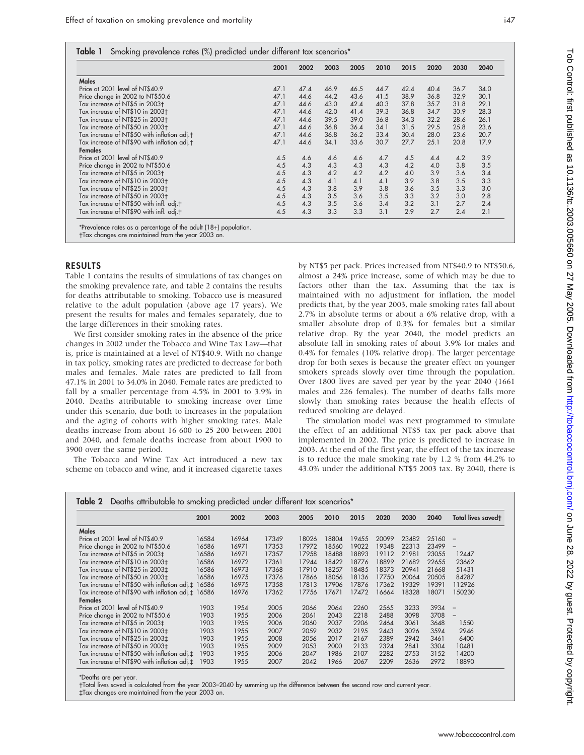Table 1 Smoking prevalence rates (%) predicted under different tax scenarios\*

|                                             | 2001 | 2002 | 2003 | 2005 | 2010 | 2015 | 2020 | 2030 | 2040 |
|---------------------------------------------|------|------|------|------|------|------|------|------|------|
| <b>Males</b>                                |      |      |      |      |      |      |      |      |      |
| Price at 2001 level of NT\$40.9             | 47.1 | 47.4 | 46.9 | 46.5 | 44.7 | 42.4 | 40.4 | 36.7 | 34.0 |
| Price change in 2002 to NT\$50.6            | 47.1 | 44.6 | 44.2 | 43.6 | 41.5 | 38.9 | 36.8 | 32.9 | 30.1 |
| Tax increase of NT\$5 in 2003+              | 47.1 | 44.6 | 43.0 | 42.4 | 40.3 | 37.8 | 35.7 | 31.8 | 29.1 |
| Tax increase of NT\$10 in 2003+             | 47.1 | 44.6 | 42.0 | 41.4 | 39.3 | 36.8 | 34.7 | 30.9 | 28.3 |
| Tax increase of NT\$25 in 2003+             | 47.1 | 44.6 | 39.5 | 39.0 | 36.8 | 34.3 | 32.2 | 28.6 | 26.1 |
| Tax increase of NT\$50 in 2003+             | 47.1 | 44.6 | 36.8 | 36.4 | 34.1 | 31.5 | 29.5 | 25.8 | 23.6 |
| Tax increase of NT\$50 with inflation adj.+ | 47.1 | 44.6 | 36.8 | 36.2 | 33.4 | 30.4 | 28.0 | 23.6 | 20.7 |
| Tax increase of NT\$90 with inflation adj.+ | 47.1 | 44.6 | 34.1 | 33.6 | 30.7 | 27.7 | 25.1 | 20.8 | 17.9 |
| Females                                     |      |      |      |      |      |      |      |      |      |
| Price at 2001 level of NT\$40.9             | 4.5  | 4.6  | 4.6  | 4.6  | 4.7  | 4.5  | 4.4  | 4.2  | 3.9  |
| Price change in 2002 to NT\$50.6            | 4.5  | 4.3  | 4.3  | 4.3  | 4.3  | 4.2  | 4.0  | 3.8  | 3.5  |
| Tax increase of NT\$5 in 2003+              | 4.5  | 4.3  | 4.2  | 4.2  | 4.2  | 4.0  | 3.9  | 3.6  | 3.4  |
| Tax increase of NT\$10 in 2003+             | 4.5  | 4.3  | 4.1  | 4.1  | 4.1  | 3.9  | 3.8  | 3.5  | 3.3  |
| Tax increase of NT\$25 in 2003+             | 4.5  | 4.3  | 3.8  | 3.9  | 3.8  | 3.6  | 3.5  | 3.3  | 3.0  |
| Tax increase of NT\$50 in 2003+             | 4.5  | 4.3  | 3.5  | 3.6  | 3.5  | 3.3  | 3.2  | 3.0  | 2.8  |
| Tax increase of NT\$50 with infl. adj.+     | 4.5  | 4.3  | 3.5  | 3.6  | 3.4  | 3.2  | 3.1  | 2.7  | 2.4  |
| Tax increase of NT\$90 with infl. adj.+     | 4.5  | 4.3  | 3.3  | 3.3  | 3.1  | 2.9  | 2.7  | 2.4  | 2.1  |

\*Prevalence rates as a percentage of the adult (18+) population.

Tax changes are maintained from the year 2003 on.

# RESULTS

Table 1 contains the results of simulations of tax changes on the smoking prevalence rate, and table 2 contains the results for deaths attributable to smoking. Tobacco use is measured relative to the adult population (above age 17 years). We present the results for males and females separately, due to the large differences in their smoking rates.

We first consider smoking rates in the absence of the price changes in 2002 under the Tobacco and Wine Tax Law—that is, price is maintained at a level of NT\$40.9. With no change in tax policy, smoking rates are predicted to decrease for both males and females. Male rates are predicted to fall from 47.1% in 2001 to 34.0% in 2040. Female rates are predicted to fall by a smaller percentage from 4.5% in 2001 to 3.9% in 2040. Deaths attributable to smoking increase over time under this scenario, due both to increases in the population and the aging of cohorts with higher smoking rates. Male deaths increase from about 16 600 to 25 200 between 2001 and 2040, and female deaths increase from about 1900 to 3900 over the same period.

The Tobacco and Wine Tax Act introduced a new tax scheme on tobacco and wine, and it increased cigarette taxes by NT\$5 per pack. Prices increased from NT\$40.9 to NT\$50.6, almost a 24% price increase, some of which may be due to factors other than the tax. Assuming that the tax is maintained with no adjustment for inflation, the model predicts that, by the year 2003, male smoking rates fall about 2.7% in absolute terms or about a 6% relative drop, with a smaller absolute drop of 0.3% for females but a similar relative drop. By the year 2040, the model predicts an absolute fall in smoking rates of about 3.9% for males and 0.4% for females (10% relative drop). The larger percentage drop for both sexes is because the greater effect on younger smokers spreads slowly over time through the population. Over 1800 lives are saved per year by the year 2040 (1661 males and 226 females). The number of deaths falls more slowly than smoking rates because the health effects of reduced smoking are delayed.

The simulation model was next programmed to simulate the effect of an additional NT\$5 tax per pack above that implemented in 2002. The price is predicted to increase in 2003. At the end of the first year, the effect of the tax increase is to reduce the male smoking rate by 1.2 % from 44.2% to 43.0% under the additional NT\$5 2003 tax. By 2040, there is

|                                                   | 2001  | 2002  | 2003  | 2005  | 2010  | 2015  | 2020  | 2030  | 2040  | Total lives savedt       |
|---------------------------------------------------|-------|-------|-------|-------|-------|-------|-------|-------|-------|--------------------------|
| <b>Males</b>                                      |       |       |       |       |       |       |       |       |       |                          |
| Price at 2001 level of NT\$40.9                   | 16584 | 16964 | 17349 | 18026 | 18804 | 19455 | 20099 | 23482 | 25160 | $\overline{\phantom{0}}$ |
| Price change in 2002 to NT\$50.6                  | 16586 | 16971 | 17353 | 17972 | 18560 | 19022 | 19348 | 22313 | 23499 | $\overline{\phantom{0}}$ |
| Tax increase of NT\$5 in 2003±                    | 16586 | 16971 | 17357 | 17958 | 18488 | 18893 | 19112 | 21981 | 23055 | 12447                    |
| Tax increase of NT\$10 in 2003‡                   | 16586 | 16972 | 17361 | 17944 | 18422 | 18776 | 18899 | 21682 | 22655 | 23662                    |
| Tax increase of NT\$25 in 2003±                   | 16586 | 16973 | 17368 | 17910 | 18257 | 18485 | 18373 | 20941 | 21668 | 51431                    |
| Tax increase of NT\$50 in 2003±                   | 16586 | 16975 | 17376 | 17866 | 18056 | 18136 | 17750 | 20064 | 20505 | 84287                    |
| Tax increase of NT\$50 with inflation adj.‡ 16586 |       | 16975 | 17358 | 17813 | 17906 | 17876 | 17362 | 19329 | 19391 | 112926                   |
| Tax increase of NT\$90 with inflation adj.‡ 16586 |       | 16976 | 17362 | 17756 | 17671 | 17472 | 16664 | 18328 | 18071 | 150230                   |
| Females                                           |       |       |       |       |       |       |       |       |       |                          |
| Price at 2001 level of NT\$40.9                   | 1903  | 1954  | 2005  | 2066  | 2064  | 2260  | 2565  | 3233  | 3934  | $\overline{\phantom{0}}$ |
| Price change in 2002 to NT\$50.6                  | 1903  | 1955  | 2006  | 2061  | 2043  | 2218  | 2488  | 3098  | 3708  | $\overline{\phantom{0}}$ |
| Tax increase of NT\$5 in 2003±                    | 1903  | 1955  | 2006  | 2060  | 2037  | 2206  | 2464  | 3061  | 3648  | 1550                     |
| Tax increase of NT\$10 in 2003‡                   | 1903  | 1955  | 2007  | 2059  | 2032  | 2195  | 2443  | 3026  | 3594  | 2946                     |
| Tax increase of NT\$25 in 2003‡                   | 1903  | 1955  | 2008  | 2056  | 2017  | 2167  | 2389  | 2942  | 3461  | 6400                     |
| Tax increase of NT\$50 in 2003‡                   | 1903  | 1955  | 2009  | 2053  | 2000  | 2133  | 2324  | 2841  | 3304  | 10481                    |
| Tax increase of NT\$50 with inflation adj.‡       | 1903  | 1955  | 2006  | 2047  | 1986  | 2107  | 2282  | 2753  | 3152  | 14200                    |
| Tax increase of NT\$90 with inflation adj.‡       | 1903  | 1955  | 2007  | 2042  | 1966  | 2067  | 2209  | 2636  | 2972  | 18890                    |

\*Deaths are per year.

Total lives saved is calculated from the year 2003–2040 by summing up the difference between the second row and current year.

`Tax changes are maintained from the year 2003 on.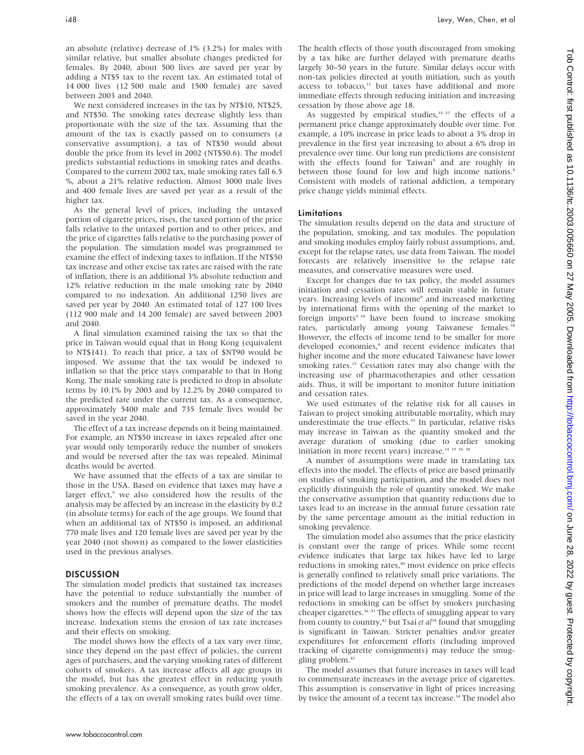an absolute (relative) decrease of 1% (3.2%) for males with similar relative, but smaller absolute changes predicted for females. By 2040, about 500 lives are saved per year by adding a NT\$5 tax to the recent tax. An estimated total of 14 000 lives (12 500 male and 1500 female) are saved between 2003 and 2040.

We next considered increases in the tax by NT\$10, NT\$25, and NT\$50. The smoking rates decrease slightly less than proportionate with the size of the tax. Assuming that the amount of the tax is exactly passed on to consumers (a conservative assumption), a tax of NT\$50 would about double the price from its level in 2002 (NT\$50.6). The model predicts substantial reductions in smoking rates and deaths. Compared to the current 2002 tax, male smoking rates fall 6.5 %, about a 21% relative reduction. Almost 3000 male lives and 400 female lives are saved per year as a result of the higher tax.

As the general level of prices, including the untaxed portion of cigarette prices, rises, the taxed portion of the price falls relative to the untaxed portion and to other prices, and the price of cigarettes falls relative to the purchasing power of the population. The simulation model was programmed to examine the effect of indexing taxes to inflation. If the NT\$50 tax increase and other excise tax rates are raised with the rate of inflation, there is an additional 3% absolute reduction and 12% relative reduction in the male smoking rate by 2040 compared to no indexation. An additional 1250 lives are saved per year by 2040. An estimated total of 127 100 lives (112 900 male and 14 200 female) are saved between 2003 and 2040.

A final simulation examined raising the tax so that the price in Taiwan would equal that in Hong Kong (equivalent to NT\$141). To reach that price, a tax of \$NT90 would be imposed. We assume that the tax would be indexed to inflation so that the price stays comparable to that in Hong Kong. The male smoking rate is predicted to drop in absolute terms by 10.1% by 2003 and by 12.2% by 2040 compared to the predicted rate under the current tax. As a consequence, approximately 5400 male and 735 female lives would be saved in the year 2040.

The effect of a tax increase depends on it being maintained. For example, an NT\$50 increase in taxes repealed after one year would only temporarily reduce the number of smokers and would be reversed after the tax was repealed. Minimal deaths would be averted.

We have assumed that the effects of a tax are similar to those in the USA. Based on evidence that taxes may have a larger effect,<sup>9</sup> we also considered how the results of the analysis may be affected by an increase in the elasticity by 0.2 (in absolute terms) for each of the age groups. We found that when an additional tax of NT\$50 is imposed, an additional 770 male lives and 120 female lives are saved per year by the year 2040 (not shown) as compared to the lower elasticities used in the previous analyses.

# **DISCUSSION**

The simulation model predicts that sustained tax increases have the potential to reduce substantially the number of smokers and the number of premature deaths. The model shows how the effects will depend upon the size of the tax increase. Indexation stems the erosion of tax rate increases and their effects on smoking.

The model shows how the effects of a tax vary over time, since they depend on the past effect of policies, the current ages of purchasers, and the varying smoking rates of different cohorts of smokers. A tax increase affects all age groups in the model, but has the greatest effect in reducing youth smoking prevalence. As a consequence, as youth grow older, the effects of a tax on overall smoking rates build over time. The health effects of those youth discouraged from smoking by a tax hike are further delayed with premature deaths largely 30–50 years in the future. Similar delays occur with non-tax policies directed at youth initiation, such as youth access to tobacco,<sup>13</sup> but taxes have additional and more immediate effects through reducing initiation and increasing cessation by those above age 18.

As suggested by empirical studies,<sup>35-37</sup> the effects of a permanent price change approximately double over time. For example, a 10% increase in price leads to about a 3% drop in prevalence in the first year increasing to about a 6% drop in prevalence over time. Our long run predictions are consistent with the effects found for Taiwan<sup>9</sup> and are roughly in between those found for low and high income nations.<sup>8</sup> Consistent with models of rational addiction, a temporary price change yields minimal effects.

# Limitations

The simulation results depend on the data and structure of the population, smoking, and tax modules. The population and smoking modules employ fairly robust assumptions, and, except for the relapse rates, use data from Taiwan. The model forecasts are relatively insensitive to the relapse rate measures, and conservative measures were used.

Except for changes due to tax policy, the model assumes initiation and cessation rates will remain stable in future years. Increasing levels of income<sup>9</sup> and increased marketing by international firms with the opening of the market to foreign imports<sup>9 38</sup> have been found to increase smoking rates, particularly among young Taiwanese females.<sup>31</sup> However, the effects of income tend to be smaller for more developed economies,<sup>8</sup> and recent evidence indicates that higher income and the more educated Taiwanese have lower smoking rates.<sup>15</sup> Cessation rates may also change with the increasing use of pharmacotherapies and other cessation aids. Thus, it will be important to monitor future initiation and cessation rates.

We used estimates of the relative risk for all causes in Taiwan to project smoking attributable mortality, which may underestimate the true effects.<sup>39</sup> In particular, relative risks may increase in Taiwan as the quantity smoked and the average duration of smoking (due to earlier smoking initiation in more recent years) increase.<sup>14 35</sup> <sup>36</sup> <sup>38</sup>

A number of assumptions were made in translating tax effects into the model. The effects of price are based primarily on studies of smoking participation, and the model does not explicitly distinguish the role of quantity smoked. We make the conservative assumption that quantity reductions due to taxes lead to an increase in the annual future cessation rate by the same percentage amount as the initial reduction in smoking prevalence.

The simulation model also assumes that the price elasticity is constant over the range of prices. While some recent evidence indicates that large tax hikes have led to large reductions in smoking rates,<sup>40</sup> most evidence on price effects is generally confined to relatively small price variations. The predictions of the model depend on whether large increases in price will lead to large increases in smuggling. Some of the reductions in smoking can be offset by smokers purchasing cheaper cigarettes.<sup>36 41</sup> The effects of smuggling appear to vary from county to country,<sup>42</sup> but Tsai et  $al<sup>34</sup>$  found that smuggling is significant in Taiwan. Stricter penalties and/or greater expenditures for enforcement efforts (including improved tracking of cigarette consignments) may reduce the smuggling problem.<sup>42</sup>

The model assumes that future increases in taxes will lead to commensurate increases in the average price of cigarettes. This assumption is conservative in light of prices increasing by twice the amount of a recent tax increase.<sup>34</sup> The model also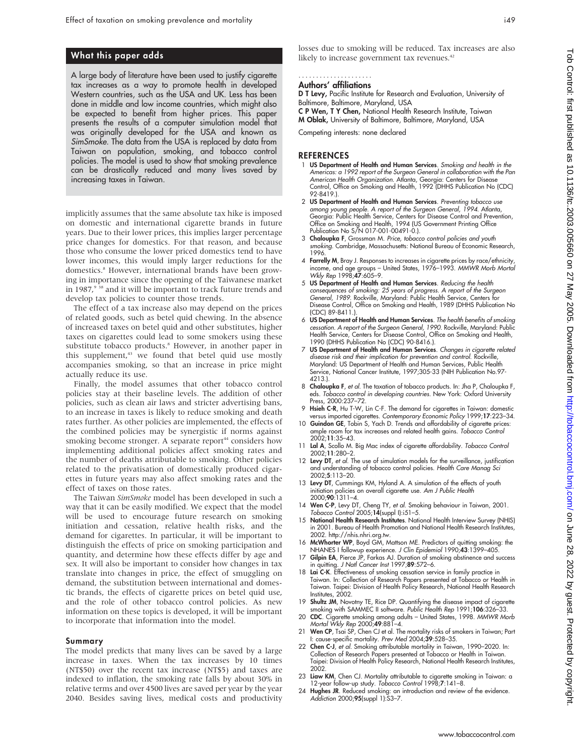# What this paper adds

A large body of literature have been used to justify cigarette tax increases as a way to promote health in developed Western countries, such as the USA and UK. Less has been done in middle and low income countries, which might also be expected to benefit from higher prices. This paper presents the results of a computer simulation model that was originally developed for the USA and known as SimSmoke. The data from the USA is replaced by data from Taiwan on population, smoking, and tobacco control policies. The model is used to show that smoking prevalence can be drastically reduced and many lives saved by increasing taxes in Taiwan.

implicitly assumes that the same absolute tax hike is imposed on domestic and international cigarette brands in future years. Due to their lower prices, this implies larger percentage price changes for domestics. For that reason, and because those who consume the lower priced domestics tend to have lower incomes, this would imply larger reductions for the domestics.<sup>8</sup> However, international brands have been growing in importance since the opening of the Taiwanese market in 1987,<sup>9</sup> <sup>38</sup> and it will be important to track future trends and develop tax policies to counter those trends.

The effect of a tax increase also may depend on the prices of related goods, such as betel quid chewing. In the absence of increased taxes on betel quid and other substitutes, higher taxes on cigarettes could lead to some smokers using these substitute tobacco products.<sup>8</sup> However, in another paper in this supplement,<sup>43</sup> we found that betel quid use mostly accompanies smoking, so that an increase in price might actually reduce its use.

Finally, the model assumes that other tobacco control policies stay at their baseline levels. The addition of other policies, such as clean air laws and stricter advertising bans, to an increase in taxes is likely to reduce smoking and death rates further. As other policies are implemented, the effects of the combined policies may be synergistic if norms against smoking become stronger. A separate report<sup>44</sup> considers how implementing additional policies affect smoking rates and the number of deaths attributable to smoking. Other policies related to the privatisation of domestically produced cigarettes in future years may also affect smoking rates and the effect of taxes on those rates.

The Taiwan SimSmoke model has been developed in such a way that it can be easily modified. We expect that the model will be used to encourage future research on smoking initiation and cessation, relative health risks, and the demand for cigarettes. In particular, it will be important to distinguish the effects of price on smoking participation and quantity, and determine how these effects differ by age and sex. It will also be important to consider how changes in tax translate into changes in price, the effect of smuggling on demand, the substitution between international and domestic brands, the effects of cigarette prices on betel quid use, and the role of other tobacco control policies. As new information on these topics is developed, it will be important to incorporate that information into the model.

#### Summary

The model predicts that many lives can be saved by a large increase in taxes. When the tax increases by 10 times (NT\$50) over the recent tax increase (NT\$5) and taxes are indexed to inflation, the smoking rate falls by about 30% in relative terms and over 4500 lives are saved per year by the year 2040. Besides saving lives, medical costs and productivity losses due to smoking will be reduced. Tax increases are also

likely to increase government tax revenues.<sup>42</sup>

#### Authors' affiliations .....................

D T Levy, Pacific Institute for Research and Evaluation, University of Baltimore, Baltimore, Maryland, USA

C P Wen, T Y Chen, National Health Research Institute, Taiwan M Oblak, University of Baltimore, Baltimore, Maryland, USA

Competing interests: none declared

### **REFERENCES**

- 1 US Department of Health and Human Services. Smoking and health in the Americas: a 1992 report of the Surgeon General in collaboration with the Pan American Health Organization. Atlanta, Georgia: Centers for Disease Control, Office on Smoking and Health, 1992 (DHHS Publication No (CDC) 92-8419.).
- 2 US Department of Health and Human Services. Preventing tobacco use among young people. A report of the Surgeon General, 1994. Atlanta,<br>Georgia: Public Health Service, Centers for Disease Control and Prevention,<br>Office on Smoking and Health, 1994 (US Government Printing Office Publication No S/N 017-001-00491-0.).
- 3 Chaloupka F, Grossman M. Price, tobacco control policies and youth smoking. Cambridge, Massachusetts: National Bureau of Economic Research, 1996.
- 4 Farrelly M, Bray J. Responses to increases in cigarette prices by race/ethnicity, income, and age groups – United States, 1976–1993. MMWR Morb Mortal Wkly Rep 1998;47:605–9.
- 5 US Department of Health and Human Services. Reducing the health consequences of smoking: 25 years of progress. A report of the Surgeon General, 1989. Rockville, Maryland: Public Health Service, Centers for Disease Control, Office on Smoking and Health, 1989 (DHHS Publication No (CDC) 89-8411.).
- 6 US Department of Health and Human Services. The health benefits of smoking cessation. A report of the Surgeon General, 1990. Rockville, Maryland: Public Health Service, Centers for Disease Control, Office on Smoking and Health, 1990 (DHHS Publication No (CDC) 90-8416.).
- 7 US Department of Health and Human Services. Changes in cigarette related disease risk and their implication for prevention and control. Rockville, Maryland: US Department of Health and Human Services, Public Health Service, National Cancer Institute, 1997;305-33 (NIH Publication No.97-4213.).
- 8 Chaloupka F, et al. The taxation of tobacco products. In: Jha P, Chaloupka F, eds. Tobacco control in developing countries. New York: Oxford University Press, 2000:237–72.
- 9 Hsieh C-R, Hu T-W, Lin C-F. The demand for cigarettes in Taiwan: domestic versus imported cigarettes. Contemporary Economic Policy 1999;17:223–34.
- 10 Guindon GE, Tobin S, Yach D. Trends and affordability of cigarette prices: ample room for tax increases and related health gains. Tobacco Control 2002;11:35–43.
- 11 Lal A, Scollo M. Big Mac index of cigarette affordability. Tobacco Control 2002;11:280–2.
- 12 Levy DT, et al. The use of simulation models for the surveillance, justification and understanding of tobacco control policies. Health Care Manag Sci 2002;5:113–20.
- 13 Levy DT, Cummings KM, Hyland A. A simulation of the effects of youth initiation policies on overall cigarette use. Am J Public Health 2000;90:1311–4.
- 14 Wen C-P, Levy DT, Cheng TY, et al. Smoking behaviour in Taiwan, 2001. Tobacco Control 2005;14(suppl I):i51–5.
- 15 National Health Research Institutes. National Health Interview Survey (NHIS) in 2001. Bureau of Health Promotion and National Health Research Institutes, 2002. http://nhis.nhri.org.tw.
- 16 McWhorter WP, Boyd GM, Mattson ME. Predictors of quitting smoking: the NHANES I followup experience. J Clin Epidemiol 1990;43:1399–405.
- 17 Gilpin EA, Pierce JP, Farkas AJ. Duration of smoking abstinence and success in quitting. J Natl Cancer Inst 1997;89:572–6.
- 18 Lai C-K. Effectiveness of smoking cessation service in family practice in Taiwan. In: Collection of Research Papers presented at Tobacco or Health in Taiwan. Taipei: Division of Health Policy Research, National Health Research Institutes, 2002.
- 19 **Shultz JM**, Novotny TE, Rice DP. Quantifying the disease impact of cigarette smoking with SAMMEC II software. Public Health Rep 1991;106:326–33. 20 CDC. Cigarette smoking among adults – United States, 1998. MMWR Morb
- Mortal Wkly Rep 2000;49:881–4.
- 21 Wen CP, Tsai SP, Chen CJ et al. The mortality risks of smokers in Taiwan; Part I: cause-specific mortality. Prev Med 2004;39:528-35.
- 22 Chen C-J, et al. Smoking attributable mortality in Taiwan, 1990-2020. In: Collection of Research Papers presented at Tobacco or Health in Taiwan. Taipei: Division of Health Policy Research, National Health Research Institutes, 2002.
- 23 Liaw KM, Chen CJ. Mortality attributable to cigarette smoking in Taiwan: a 12-year follow-up study. Tobacco Control 1998;7:141–8.
- 24 Hughes JR. Reduced smoking: an introduction and review of the evidence. Addiction 2000;95(suppl 1):S3–7.